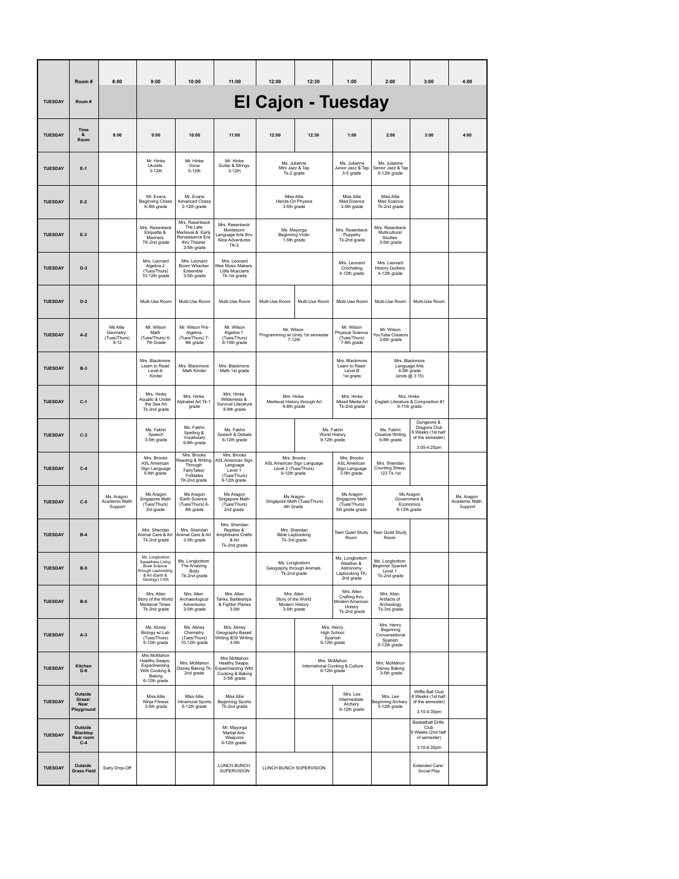|                | Room#                                            | 8:00                                             | 9:00                                                                                                          | 10:00                                                                                            | 11:00                                                                                  | 12:00                                                                                   | 12:30          | 1:00                                                                                            | 2:00                                                              | 3:00                                                                                 | 4:00                                   |
|----------------|--------------------------------------------------|--------------------------------------------------|---------------------------------------------------------------------------------------------------------------|--------------------------------------------------------------------------------------------------|----------------------------------------------------------------------------------------|-----------------------------------------------------------------------------------------|----------------|-------------------------------------------------------------------------------------------------|-------------------------------------------------------------------|--------------------------------------------------------------------------------------|----------------------------------------|
| <b>TUESDAY</b> | Room#                                            |                                                  | <b>El Cajon - Tuesday</b>                                                                                     |                                                                                                  |                                                                                        |                                                                                         |                |                                                                                                 |                                                                   |                                                                                      |                                        |
| <b>TUESDAY</b> | Time<br>&<br>Room                                | 8:00                                             | 9:00                                                                                                          | 10:00                                                                                            | 11:00                                                                                  | 12:00                                                                                   | 12:30          | 1:00                                                                                            | 2:00                                                              | 3:00                                                                                 | 4:00                                   |
| <b>TUESDAY</b> | $E-1$                                            |                                                  | Mr. Hinke<br>Ukulele<br>3-12th                                                                                | Mr. Hinke<br>Voice<br>5-12th                                                                     | Mr. Hinke<br>Guitar & Strings<br>$3-12th$                                              | Ms. Julianne<br>Mini Jazz & Tap                                                         | Tk-2 grade     | Ms. Julianne<br>Junior Jazz & Tap<br>3-5 grade                                                  | Ms. Julianne<br>Senior Jazz & Tap<br>6-12th grade                 |                                                                                      |                                        |
| <b>TUESDAY</b> | $E-2$                                            |                                                  | Mr. Evans<br><b>Beginning Chess</b><br>K-8th grade                                                            | Mr. Evans<br><b>Advanced Chess</b><br>2-12th grade                                               |                                                                                        | Miss Allie<br>Hands-On Physics<br>3-5th grade                                           |                | Miss Allie<br>Mad Science<br>3-5th grade                                                        | Miss Allie<br>Mad Science<br>Tk-2nd grade                         |                                                                                      |                                        |
| <b>TUESDAY</b> | $E-3$                                            |                                                  | Mrs. Resenbeck<br>Etiquette &<br>Manners<br>TK-2nd grade                                                      | Mrs. Resenbeck<br>The Late<br>Medieval & Early<br>Renaissance Era<br>thru Theater<br>3-5th grade | Mrs. Resenbeck<br>Montesorri<br>anguage Arts thru<br>Alice Adventures<br><b>TK-2</b>   | Ms. Mayorga<br>Beginning Violin<br>1-5th grade                                          |                | Mrs. Resenbeck<br>Puppetry<br>Tk-2nd grade                                                      | Mrs. Resenbeck<br>Multicultural<br>Studies<br>3-5th grade         |                                                                                      |                                        |
| <b>TUESDAY</b> | $D-3$                                            |                                                  | Mrs. Leonard<br>Algebra 2<br>(Tues/Thurs)<br>10-12th grade                                                    | Mrs. Leonard<br>Boom Whacker<br>Ensemble<br>3-5th grade                                          | Mrs. Leonard<br>Vee Music Makers:<br>Little Muscians<br>Tk-1st grade                   |                                                                                         |                | Mrs. Leonard<br>Crocheting<br>4-12th grade                                                      | Mrs. Leonard<br><b>History Quilters</b><br>4-12th grade           |                                                                                      |                                        |
| <b>TUESDAY</b> | $D-2$                                            |                                                  | Multi-Use Room                                                                                                | Multi-Use Room                                                                                   | Multi-Use Room                                                                         | Multi-Use Room                                                                          | Multi-Use Room | Multi-Use Room                                                                                  | Multi-Use Room                                                    | Multi-Use Room                                                                       |                                        |
| <b>TUESDAY</b> | $A-2$                                            | Ms Allie<br>Geometry<br>(Tues/Thurs)<br>$9 - 12$ | Mr. Wilson<br>Math<br>(Tues/Thurs) 6-<br>7th Grade                                                            | Mr. Wilson Pre-<br>Algebra<br>(Tues/Thurs) 7-<br>9th grade                                       | Mr. Wilson<br>Algebra 1<br>(Tues/Thurs)<br>8-10th grade                                | Mr Wilson<br>Programming w/ Unity 1st semester<br>7-12th                                |                | Mr. Wilson<br>Physical Science<br>(Tues/Thurs)<br>7-8th grade                                   | Mr. Wilson<br>YouTube Creators<br>3-6th grade                     |                                                                                      |                                        |
| <b>TUESDAY</b> | $B-3$                                            |                                                  | Mrs. Blackmore<br>Learn to Read<br>Level A<br>Kinder                                                          | Mrs. Blackmore<br>Math Kinder                                                                    | Mrs. Blackmore<br>Math 1st grade                                                       | Level B                                                                                 |                | Mrs. Blackmore<br>Learn to Read<br>1st grade                                                    | Mrs. Blackmore<br>Language Arts<br>4-5th grade<br>(ends @ 3:15)   |                                                                                      |                                        |
| <b>TUESDAY</b> | $C-1$                                            |                                                  | Mrs. Hinke<br>Aquatic & Under<br>the Sea Art<br>Tk-2nd grade                                                  | Mrs. Hinke<br>Alphabet Art Tk-1<br>grade                                                         | Mrs. Hinke<br>Wildemess &<br>Survival Literature<br>6-8th grade                        | Mrs. Hinke<br>Mrs. Hinke<br>Medieval History through Art<br>6-8th grade<br>Tk-2nd grade |                | Mixed Media Art                                                                                 | Mrs. Hinke<br>English Literature & Composition #1<br>9-11th grade |                                                                                      |                                        |
| <b>TUESDAY</b> | $C-3$                                            |                                                  | Ms. Fakhri<br>Speech<br>3-5th grade                                                                           | Ms. Fakhri<br>Spelling &<br>Vocabulary<br>6-8th grade                                            | Ms. Fakhri<br>Speech & Debate<br>6-12th grade                                          | Ms. Fakhri<br>World History<br>9-12th grade                                             |                |                                                                                                 | Ms. Fakhri<br><b>Creative Writing</b><br>6-8th grade              | Dungeons &<br>Dragons Club<br>8 Weeks (1st half<br>of the semester)<br>3:05-4:25pm   |                                        |
| <b>TUESDAY</b> | $C-4$                                            |                                                  | Mrs. Brooks<br>ASL American<br>Sign Language<br>6-8th grade                                                   | Mrs. Brooks<br>Reading & Writing<br>Through<br>FairyTales/<br>Folktales<br>TK-2nd grade          | Mrs. Brooks<br>SL American Sign<br>Language<br>Level 1<br>(Tues/Thurs)<br>9-12th grade | Mrs. Brooks<br>ASL American Sign Language<br>Level 2 (Tues/Thurs)<br>9-12th grade       |                | Mrs. Brooks<br>ASL American<br>Sign Language<br>3-5th grade                                     | Mrs. Sheridan<br>Counting Sheep<br>123 Tk-1st                     |                                                                                      |                                        |
| <b>TUESDAY</b> | $C-5$                                            | Ms. Aragon<br>Academic Math<br>Support           | Ms Aragon<br>Singapore Math<br>(Tues/Thurs)<br>3rd grade                                                      | Ms Aragon<br>Earth Science<br>(Tues/Thurs) 6-<br>8th grade                                       | Ms Aragon<br>Singapore Math<br>(Tues/Thurs)<br>2nd grade                               | Ms Aragon<br>Singapore Math (Tues/Thurs)<br>4th Grade                                   |                | Ms Aragon<br>Singapore Math<br>(Tues/Thurs)<br>5th grade grade                                  | Ms Aragon<br>Government &<br><b>Economics</b><br>9-12th grade     |                                                                                      | Ms. Aragon<br>Academic Math<br>Support |
| <b>TUESDAY</b> | $B-4$                                            |                                                  | Mrs. Sheridan<br>Animal Care & Art<br>Tk-2nd grade                                                            | Mrs. Sheridan<br>Animal Care & Art<br>3-5th grade                                                | Mrs. Sheridan<br>Reptiles &<br>Amphibians Crafts<br>& Art<br>Tk-2nd grade              | Mrs. Sheridan<br><b>Bible Lapbooking</b><br>Tk-3rd grade                                |                | Teen Quiet Study<br>Room                                                                        | <b>Teen Quiet Study</b><br>Room                                   |                                                                                      |                                        |
| <b>TUESDAY</b> | $B-5$                                            |                                                  | Ms. Longbottom<br>Sassafrass Living<br>Book Science<br>through Lapbooking<br>& Art (Earth &<br>Geology) 3-5th | Ms. Longbottom<br>The Amazing<br>Body<br>Tk-2nd grade                                            |                                                                                        | Ms. Longbottom<br>Geography through Animals<br>Tk-2nd grade                             |                | Ms. Longbottom<br>Weather &<br>Astronomy<br>Lapbooking TK-<br>2nd grade                         | Ms. Longbottom<br>Beginner Spanish<br>Level 1<br>Tk-2nd grade     |                                                                                      |                                        |
| <b>TUESDAY</b> | $B-6$                                            |                                                  | Mrs. Allen<br>Story of the World<br>Medieval Times<br>Tk-2nd grade                                            | Mrs. Allen<br>Archaeological<br>Adventures<br>3-5th grade                                        | Mrs. Allen<br>Tanks, Battleships<br>& Fighter Planes<br>$3-5th$                        | Mrs. Allen<br>Story of the World<br>Modern History<br>3-5th grade                       |                | Mrs. Allen<br>Crafting thru<br>Modern American<br>History<br>Tk-2nd grade                       | Mrs. Allen<br>Artifacts of<br>Archeology<br>Tk-3rd grade          |                                                                                      |                                        |
| <b>TUESDAY</b> | $A-3$                                            |                                                  | Ms. Abney<br>Biology w/ Lab<br>(Tues/Thurs)<br>9-12th grade                                                   | Ms. Abnev<br>Chemistry<br>(Tues/Thurs)<br>10-12th grade                                          | Mrs. Abney<br>Geography Based<br>Writing IEW Writing<br>$3-5th$                        | Mrs. Henry<br>High School                                                               |                | Mrs. Henry<br>Beginning<br>Conversational<br>Spanish<br>Spanish<br>9-12th grade<br>6-12th grade |                                                                   |                                                                                      |                                        |
| <b>TUESDAY</b> | <b>Kitchen</b><br>$D-9$                          |                                                  | Mrs McMahon<br>Healthy Swaps:<br>Experimenting<br>With Cooking &<br>Baking<br>6-12th grade                    | Mrs. McMahon<br>Disney Baking Tk-<br>2nd grade                                                   | Mrs McMahon<br>Healthy Swaps:<br>xperimenting With<br>Cooking & Baking<br>3-5th grade  | Mrs. McMahon<br>6-12th grade                                                            |                | International Cooking & Culture                                                                 | Mrs. McMahon<br><b>Disney Baking</b><br>3-5th grade               |                                                                                      |                                        |
| <b>TUESDAY</b> | Outside<br>Grass/<br>Near<br>Playground          |                                                  | Miss Allie<br>Ninja Fitness<br>3-5th grade                                                                    | Miss Allie<br>Intramural Sports<br>6-12th grade                                                  | Miss Allie<br><b>Beginning Sports</b><br>Tk-2nd grade                                  |                                                                                         |                | Mrs. Lee<br>Intermediate<br>Archerv<br>6-12th grade                                             | Mrs. Lee<br>Beginning Archery<br>5-12th grade                     | Wiffle Ball Club<br>8 Weeks (1st half<br>of the semester)<br>3:10-4:30pm             |                                        |
| <b>TUESDAY</b> | Outside<br><b>Blacktop</b><br>Near room<br>$C-4$ |                                                  |                                                                                                               |                                                                                                  | Mr. Mayorga<br>Martial Arts<br>Weapons<br>6-12th grade                                 |                                                                                         |                |                                                                                                 |                                                                   | <b>Basketball Drills</b><br>Club<br>8 Weeks (2nd half<br>of semester)<br>3:10-4:30pm |                                        |
| <b>TUESDAY</b> | Outside<br><b>Grass Field</b>                    | Early Drop-Off                                   |                                                                                                               |                                                                                                  | LUNCH BUNCH<br>SUPERVISION                                                             | LUNCH BUNCH SUPERVISION                                                                 |                |                                                                                                 |                                                                   | Extended Care/<br>Social Play                                                        |                                        |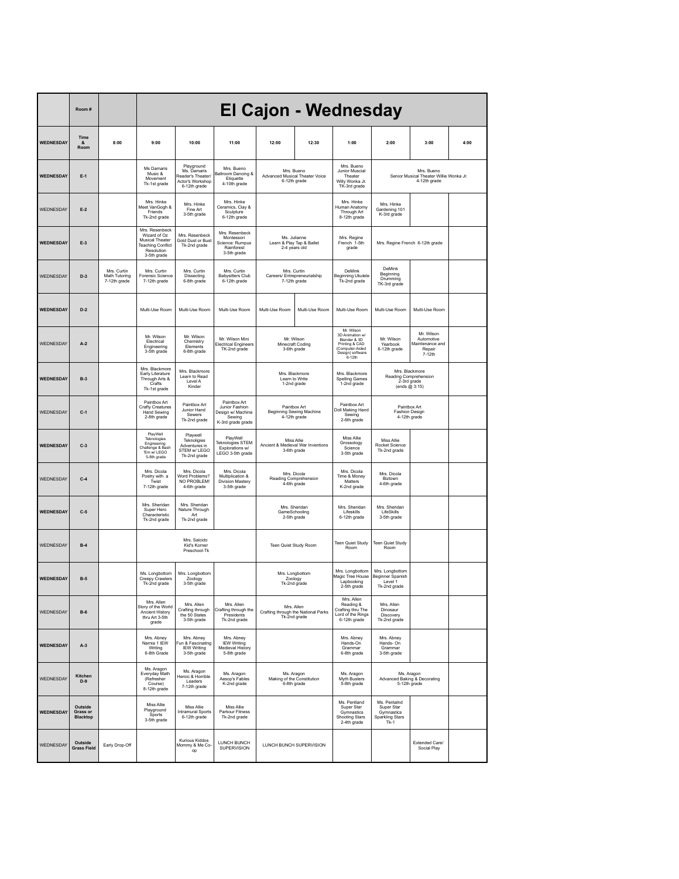|                  | Room#                                  |                                              | El Cajon - Wednesday                                                                                              |                                                                                    |                                                                                    |                                                                   |                |                                                                                                                    |                                                                         |                                                                |      |
|------------------|----------------------------------------|----------------------------------------------|-------------------------------------------------------------------------------------------------------------------|------------------------------------------------------------------------------------|------------------------------------------------------------------------------------|-------------------------------------------------------------------|----------------|--------------------------------------------------------------------------------------------------------------------|-------------------------------------------------------------------------|----------------------------------------------------------------|------|
| WEDNESDAY        | Time<br>Room                           | 8:00                                         | 9:00                                                                                                              | 10:00                                                                              | 11:00                                                                              | 12:00                                                             | 12:30          | 1:00                                                                                                               | 2:00                                                                    | 3:00                                                           | 4:00 |
| WEDNESDAY        | $E-1$                                  |                                              | Ms Damaris<br>Music &<br>Movement<br>Tk-1st grade                                                                 | Playground<br>Ms. Damaris<br>Reader's Theater/<br>Actor's Workshop<br>6-12th grade | Mrs. Bueno<br>Ballroom Dancing &<br>Etiquette<br>4-10th grade                      | Mrs. Bueno<br>Advanced Musical Theater Voice<br>6-12th grade      |                | Mrs. Bueno<br>Junior Muscial<br>Theater<br>Willy Wonka Jr.<br>TK-3rd grade                                         | Mrs. Bueno<br>Senior Musical Theater Willie Wonka Jr.<br>4-12th grade   |                                                                |      |
| WEDNESDAY        | $E-2$                                  |                                              | Mrs. Hinke<br>Meet VanGogh &<br>Friends<br>Tk-2nd grade                                                           | Mrs. Hinke<br>Fine Art<br>3-5th grade                                              | Mrs. Hinke<br>Ceramics, Clay &<br>Sculpture<br>6-12th grade                        |                                                                   |                | Mrs Hinke<br>Human Anatomy<br>Through Art<br>8-12th grade                                                          | Mrs. Hinke<br>Gardening 101<br>K-3rd grade                              |                                                                |      |
| WEDNESDAY        | $E-3$                                  |                                              | Mrs. Resenbeck<br>Wizard of Oz<br><b>Musical Theater</b><br><b>Teaching Conflict</b><br>Resolution<br>3-5th grade | Mrs. Resenbeck<br>Gold Dust or Bust<br>Tk-2nd grade                                | Mrs. Resenbeck<br>Montessori<br>Science: Rumpus<br>Rainforest<br>3-5th grade       | Ms. Julianne<br>Learn & Play Tap & Ballet<br>2-4 years old        |                | Mrs. Regine<br>French 1-5th<br>grade                                                                               | Mrs. Regine French 6-12th grade                                         |                                                                |      |
| WEDNESDAY        | $D-3$                                  | Mrs. Curtin<br>Math Tutoring<br>7-12th grade | Mrs. Curtin<br>Forensic Science<br>7-12th grade                                                                   | Mrs. Curtin<br>Dissecting<br>6-8th grade                                           | Mrs. Curtin<br><b>Babysitters Club</b><br>6-12th grade                             | Mrs. Curtin<br>Careers/ Entrepreneurialship<br>7-12th grade       |                | DeMink<br>Beginning Ukulele<br>Tk-2nd grade                                                                        | DeMink<br>Beginning<br>Drumming<br>TK-3rd grade                         |                                                                |      |
| WEDNESDAY        | $D-2$                                  |                                              | Multi-Use Room                                                                                                    | Multi-Use Room                                                                     | Multi-Use Room                                                                     | Multi-Use Room                                                    | Multi-Use Room | Multi-Use Room                                                                                                     | Multi-Use Room                                                          | Multi-Use Room                                                 |      |
| WEDNESDAY        | $A-2$                                  |                                              | Mr. Wilson<br>Electrical<br>Engineering<br>3-5th grade                                                            | Mr. Wilson<br>Chemistry<br>Flements<br>6-8th grade                                 | Mr. Wilson Mini<br>lectrical Engineers<br>TK-2nd grade                             | Mr. Wilson<br>Minecraft Coding<br>3-6th grade                     |                | Mr. Wilson<br>3D Animation w/<br>Blender & 3D<br>Printing & CAD<br>(Computer-Aided<br>Design) software<br>$6-12th$ | Mr. Wilson<br>Yearbook<br>6-12th grade                                  | Mr Wilson<br>Automotive<br>Maintenance and<br>Repair<br>7-12th |      |
| <b>WEDNESDAY</b> | $B-3$                                  |                                              | Mrs. Blackmore<br>Early Literature<br>Through Arts &<br>Crafts<br>Tk-1st grade                                    | Mrs. Blackmore<br>Learn to Read<br>Level A<br>Kinder                               |                                                                                    | Mrs. Blackmore<br>Learn to Write<br>1-2nd grade                   |                | Mrs. Blackmore<br><b>Spelling Games</b><br>1-2nd grade                                                             | Mrs. Blackmore<br>Reading Comprehension<br>2-3rd grade<br>(ends @ 3:15) |                                                                |      |
| WEDNESDAY        | $C-1$                                  |                                              | Paintbox Art<br>Crafty Creatures<br><b>Hand Sewing</b><br>2-8th grade                                             | Paintbox Art<br>Junior Hand<br>Sewers<br>Tk-2nd grade                              | Paintbox Art<br>Junior Fashion<br>Design w/ Machine<br>Sewing<br>K-3rd grade grade | Paintbox Art<br>Beginning Sewing Machine<br>4-12th grade          |                | Paintbox Art<br>Doll Making Hand<br>Sewing<br>2-6th grade                                                          | Paintbox Art<br><b>Fashion Design</b><br>4-12th grade                   |                                                                |      |
| WEDNESDAY        | $C-3$                                  |                                              | PlayWell<br>Teknologies<br>Engineering<br>Challenge & Bash<br>'Em w/ LEGO<br>5-8th grade                          | Playwell<br>Teknoligies<br>Adventures in<br>STEM w/ LEGO<br>Tk-2nd grade           | PlayWell<br>Teknologies STEM<br>Explorations w/<br>LEGO 3-5th grade                | Miss Allie<br>Ancient & Medieval War Inventions<br>3-6th grade    |                | Miss Allie<br>Grossology<br>Science<br>3-5th grade                                                                 | Miss Allie<br>Rocket Science<br>Tk-2nd grade                            |                                                                |      |
| WEDNESDAY        | $C-4$                                  |                                              | Mrs. Dicola<br>Poetry with a<br>Twist<br>7-12th grade                                                             | Mrs. Dicola<br>Word Problems?<br>NO PROBLEM!<br>4-6th grade                        | Mrs. Dicola<br>Multiplication &<br><b>Division Mastery</b><br>3-5th grade          | Mrs. Dicola<br>Reading Comprehension<br>4-6th grade               |                | Mrs. Dicola<br>Time & Money<br>Matters<br>K-2nd grade                                                              | Mrs. Dicola<br>Biztown<br>4-6th grade                                   |                                                                |      |
| WEDNESDAY        | $C-5$                                  |                                              | Mrs. Sheridan<br>Super Hero<br>Characteristic<br>Tk-2nd grade                                                     | Mrs. Sheridan<br>Nature Through<br>Art<br>Tk-2nd grade                             |                                                                                    | Mrs. Sheridan<br>GameSchooling<br>2-5th grade                     |                | Mrs. Sheridan<br>Lifeskills<br>6-12th grade                                                                        | Mrs. Sheridan<br>LifeSkills<br>3-5th grade                              |                                                                |      |
| WEDNESDAY        | $B-4$                                  |                                              |                                                                                                                   | Mrs Salcido<br>Kid's Korner<br>Preschool-Tk                                        |                                                                                    | Teen Quiet Study Room                                             |                | <b>Teen Quiet Study</b><br>Room                                                                                    | Teen Quiet Study<br>Room                                                |                                                                |      |
| WEDNESDAY        | $B-5$                                  |                                              | Ms. Longbottom<br>Creepy Crawlers<br>Tk-2nd grade                                                                 | Mrs. Longbottom<br>Zoology<br>3-5th grade                                          |                                                                                    | Mrs. Longbottom<br>Zoology<br>Tk-2nd grade                        |                | Mrs. Longbottom<br>Magic Tree House<br>Lapbooking<br>2-5th grade                                                   | Mrs. Longbottom<br>Beginner Spanish<br>Level 1<br>Tk-2nd grade          |                                                                |      |
| WEDNESDAY        | $B-6$                                  |                                              | Mrs. Allen<br>Story of the World<br>Ancient History<br>thru Art 3-5th<br>grade                                    | Mrs. Allen<br>Crafting through<br>the 50 States<br>3-5th grade                     | Mrs. Allen<br>Crafting through the<br>Presidents<br>Tk-2nd grade                   | Mrs. Allen<br>Crafting through the National Parks<br>Tk-2nd grade |                | Mrs. Allen<br>Reading &<br>Crafting thru The<br>Lord of the Rings<br>6-12th grade                                  | Mrs. Allen<br>Dinosaur<br>Discovery<br>Tk-2nd grade                     |                                                                |      |
| WEDNESDAY        | $A-3$                                  |                                              | Mrs. Abney<br>Namia 1 IEW<br>Writing<br>6-8th Grade                                                               | Mrs. Abney<br>un & Fascinating<br><b>IEW Writing</b><br>3-5th grade                | Mrs. Abney<br><b>IEW Writing</b><br>Medieval History<br>5-8th grade                |                                                                   |                | Mrs. Abney<br>Hands-On<br>Grammar<br>6-8th grade                                                                   | Mrs. Abney<br>Hands-On<br>Grammar<br>3-5th grade                        |                                                                |      |
| WEDNESDAY        | Kitchen<br>$D-9$                       |                                              | Ms. Aragon<br>Everyday Math<br>(Refresher<br>Course)<br>8-12th grade                                              | Ms. Aragon<br>Heroic & Horrible<br>Leaders<br>7-12th grade                         | Ms. Aragon<br>Aesop's Fables<br>K-2nd grade                                        | Ms. Aragon<br>Making of the Constitution<br>6-8th grade           |                | Ms. Aragon<br>Myth Busters<br>5-8th grade                                                                          | Ms. Aragon<br>Advanced Baking & Decorating<br>5-12th grade              |                                                                |      |
| WEDNESDAY        | Outside<br>Grass or<br><b>Blacktop</b> |                                              | Miss Allie<br>Playground<br>Sports<br>3-5th grade                                                                 | Miss Allie<br>Intramural Sports<br>6-12th grade                                    | Miss Allie<br>Parkour Fitness<br>Tk-2nd grade                                      |                                                                   |                | Ms. Pentland<br>Super Star<br>Gymnastics<br><b>Shooting Stars</b><br>2-4th grade                                   | Ms. Pentalnd<br>Super Star<br>Gymnastics<br>Sparkling Stars<br>$Tk-1$   |                                                                |      |
| WEDNESDAY        | Outside<br><b>Grass Field</b>          | Early Drop-Off                               |                                                                                                                   | Kurious Kiddos<br>Mommy & Me Co-<br>op                                             | LUNCH BUNCH<br>SUPERVISION                                                         | LUNCH BUNCH SUPERVISION                                           |                |                                                                                                                    |                                                                         | Extended Care/<br>Social Play                                  |      |